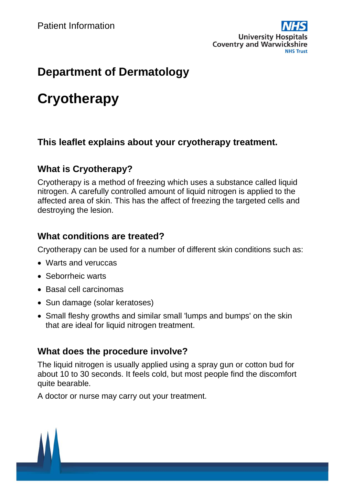

# **Department of Dermatology**

# **Cryotherapy**

# **This leaflet explains about your cryotherapy treatment.**

# **What is Cryotherapy?**

Cryotherapy is a method of freezing which uses a substance called liquid nitrogen. A carefully controlled amount of liquid nitrogen is applied to the affected area of skin. This has the affect of freezing the targeted cells and destroying the lesion.

#### **What conditions are treated?**

Cryotherapy can be used for a number of different skin conditions such as:

- Warts and veruccas
- Seborrheic warts
- Basal cell carcinomas
- Sun damage (solar keratoses)
- Small fleshy growths and similar small 'lumps and bumps' on the skin that are ideal for liquid nitrogen treatment.

# **What does the procedure involve?**

The liquid nitrogen is usually applied using a spray gun or cotton bud for about 10 to 30 seconds. It feels cold, but most people find the discomfort quite bearable.

A doctor or nurse may carry out your treatment.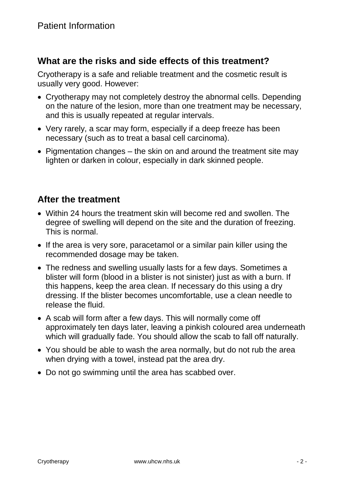#### **What are the risks and side effects of this treatment?**

Cryotherapy is a safe and reliable treatment and the cosmetic result is usually very good. However:

- Cryotherapy may not completely destroy the abnormal cells. Depending on the nature of the lesion, more than one treatment may be necessary, and this is usually repeated at regular intervals.
- Very rarely, a scar may form, especially if a deep freeze has been necessary (such as to treat a basal cell carcinoma).
- Pigmentation changes the skin on and around the treatment site may lighten or darken in colour, especially in dark skinned people.

# **After the treatment**

- Within 24 hours the treatment skin will become red and swollen. The degree of swelling will depend on the site and the duration of freezing. This is normal.
- If the area is very sore, paracetamol or a similar pain killer using the recommended dosage may be taken.
- The redness and swelling usually lasts for a few days. Sometimes a blister will form (blood in a blister is not sinister) just as with a burn. If this happens, keep the area clean. If necessary do this using a dry dressing. If the blister becomes uncomfortable, use a clean needle to release the fluid.
- A scab will form after a few days. This will normally come off approximately ten days later, leaving a pinkish coloured area underneath which will gradually fade. You should allow the scab to fall off naturally.
- You should be able to wash the area normally, but do not rub the area when drying with a towel, instead pat the area dry.
- Do not go swimming until the area has scabbed over.